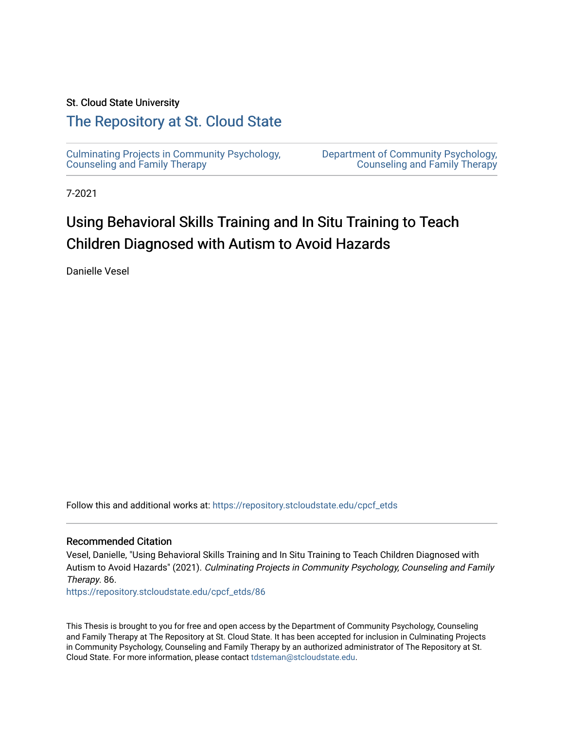### St. Cloud State University

## [The Repository at St. Cloud State](https://repository.stcloudstate.edu/)

[Culminating Projects in Community Psychology,](https://repository.stcloudstate.edu/cpcf_etds)  [Counseling and Family Therapy](https://repository.stcloudstate.edu/cpcf_etds)

[Department of Community Psychology,](https://repository.stcloudstate.edu/cpcf)  [Counseling and Family Therapy](https://repository.stcloudstate.edu/cpcf) 

7-2021

# Using Behavioral Skills Training and In Situ Training to Teach Children Diagnosed with Autism to Avoid Hazards

Danielle Vesel

Follow this and additional works at: [https://repository.stcloudstate.edu/cpcf\\_etds](https://repository.stcloudstate.edu/cpcf_etds?utm_source=repository.stcloudstate.edu%2Fcpcf_etds%2F86&utm_medium=PDF&utm_campaign=PDFCoverPages) 

#### Recommended Citation

Vesel, Danielle, "Using Behavioral Skills Training and In Situ Training to Teach Children Diagnosed with Autism to Avoid Hazards" (2021). Culminating Projects in Community Psychology, Counseling and Family Therapy. 86.

[https://repository.stcloudstate.edu/cpcf\\_etds/86](https://repository.stcloudstate.edu/cpcf_etds/86?utm_source=repository.stcloudstate.edu%2Fcpcf_etds%2F86&utm_medium=PDF&utm_campaign=PDFCoverPages)

This Thesis is brought to you for free and open access by the Department of Community Psychology, Counseling and Family Therapy at The Repository at St. Cloud State. It has been accepted for inclusion in Culminating Projects in Community Psychology, Counseling and Family Therapy by an authorized administrator of The Repository at St. Cloud State. For more information, please contact [tdsteman@stcloudstate.edu.](mailto:tdsteman@stcloudstate.edu)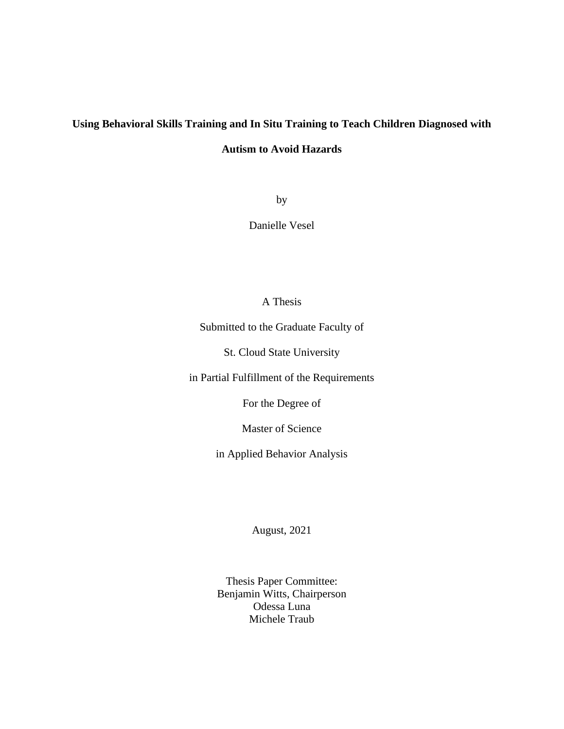# **Using Behavioral Skills Training and In Situ Training to Teach Children Diagnosed with Autism to Avoid Hazards**

by

Danielle Vesel

## A Thesis

Submitted to the Graduate Faculty of

St. Cloud State University

in Partial Fulfillment of the Requirements

For the Degree of

Master of Science

in Applied Behavior Analysis

August, 2021

Thesis Paper Committee: Benjamin Witts, Chairperson Odessa Luna Michele Traub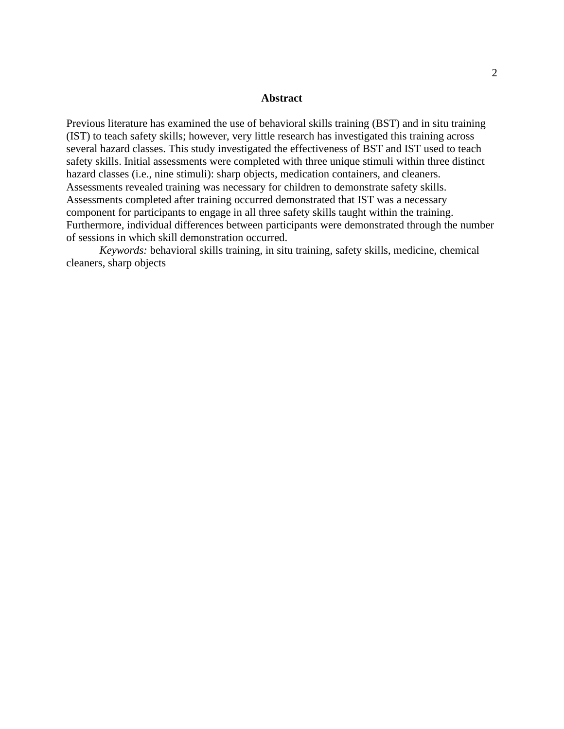#### **Abstract**

Previous literature has examined the use of behavioral skills training (BST) and in situ training (IST) to teach safety skills; however, very little research has investigated this training across several hazard classes. This study investigated the effectiveness of BST and IST used to teach safety skills. Initial assessments were completed with three unique stimuli within three distinct hazard classes (i.e., nine stimuli): sharp objects, medication containers, and cleaners. Assessments revealed training was necessary for children to demonstrate safety skills. Assessments completed after training occurred demonstrated that IST was a necessary component for participants to engage in all three safety skills taught within the training. Furthermore, individual differences between participants were demonstrated through the number of sessions in which skill demonstration occurred.

*Keywords:* behavioral skills training, in situ training, safety skills, medicine, chemical cleaners, sharp objects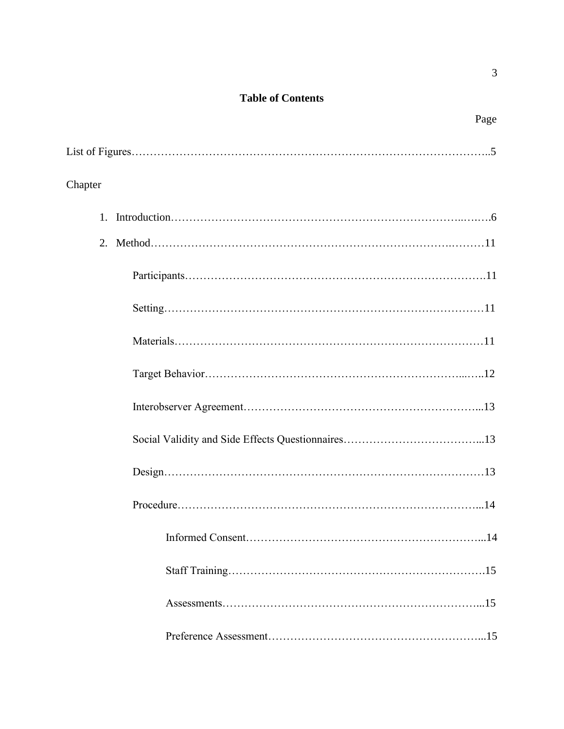## **Table of Contents**

|--|

| Chapter |
|---------|
|         |
|         |
|         |
|         |
|         |
|         |
|         |
|         |
|         |
|         |
|         |
|         |
|         |
|         |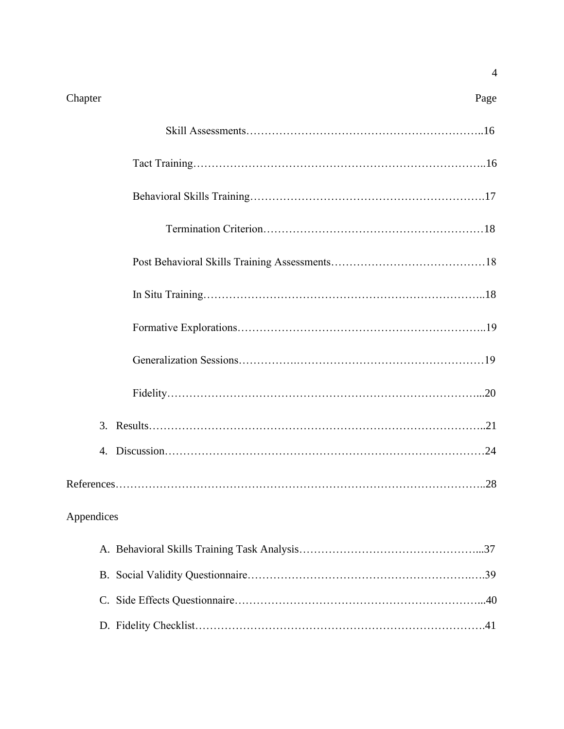#### Chapter Page

| Appendices |
|------------|
|            |
|            |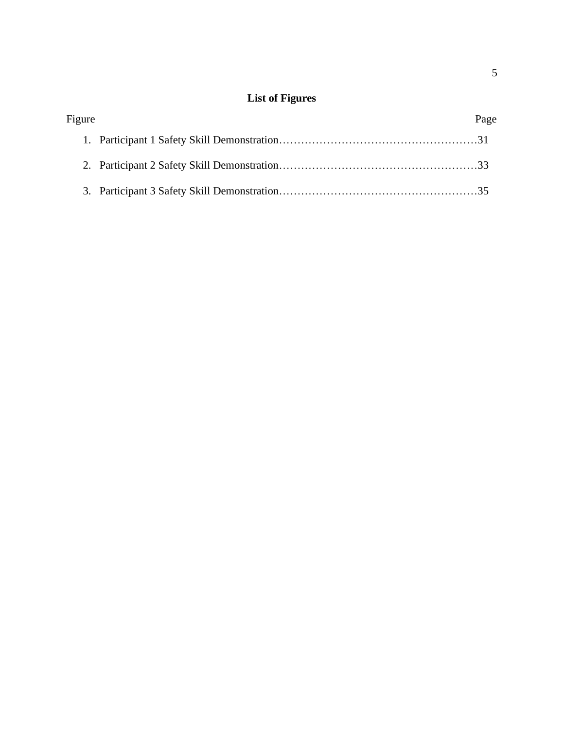## **List of Figures**

| Figure | Page |
|--------|------|
|        |      |
|        |      |
|        |      |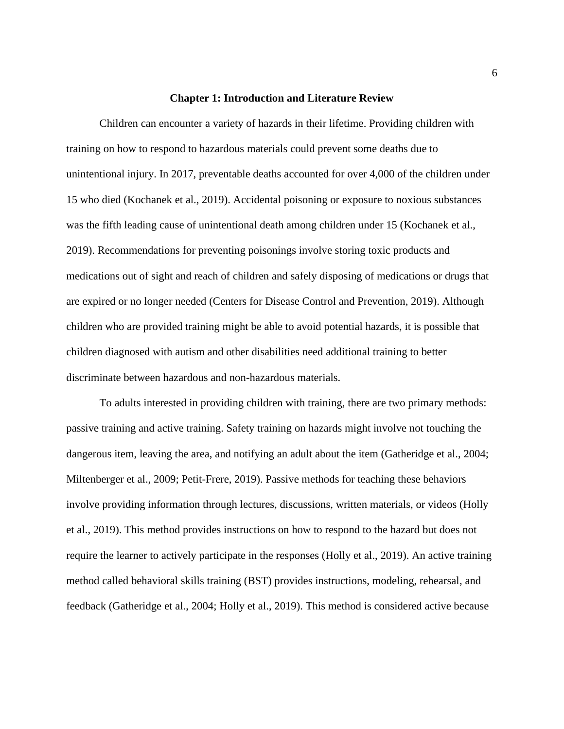#### **Chapter 1: Introduction and Literature Review**

Children can encounter a variety of hazards in their lifetime. Providing children with training on how to respond to hazardous materials could prevent some deaths due to unintentional injury. In 2017, preventable deaths accounted for over 4,000 of the children under 15 who died (Kochanek et al., 2019). Accidental poisoning or exposure to noxious substances was the fifth leading cause of unintentional death among children under 15 (Kochanek et al., 2019). Recommendations for preventing poisonings involve storing toxic products and medications out of sight and reach of children and safely disposing of medications or drugs that are expired or no longer needed (Centers for Disease Control and Prevention, 2019). Although children who are provided training might be able to avoid potential hazards, it is possible that children diagnosed with autism and other disabilities need additional training to better discriminate between hazardous and non-hazardous materials.

To adults interested in providing children with training, there are two primary methods: passive training and active training. Safety training on hazards might involve not touching the dangerous item, leaving the area, and notifying an adult about the item (Gatheridge et al., 2004; Miltenberger et al., 2009; Petit-Frere, 2019). Passive methods for teaching these behaviors involve providing information through lectures, discussions, written materials, or videos (Holly et al., 2019). This method provides instructions on how to respond to the hazard but does not require the learner to actively participate in the responses (Holly et al., 2019). An active training method called behavioral skills training (BST) provides instructions, modeling, rehearsal, and feedback (Gatheridge et al., 2004; Holly et al., 2019). This method is considered active because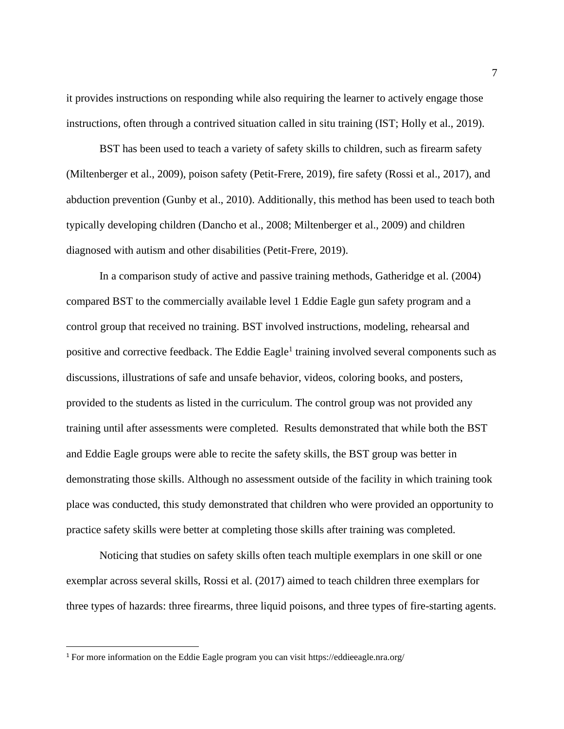it provides instructions on responding while also requiring the learner to actively engage those instructions, often through a contrived situation called in situ training (IST; Holly et al., 2019).

BST has been used to teach a variety of safety skills to children, such as firearm safety (Miltenberger et al., 2009), poison safety (Petit-Frere, 2019), fire safety (Rossi et al., 2017), and abduction prevention (Gunby et al., 2010). Additionally, this method has been used to teach both typically developing children (Dancho et al., 2008; Miltenberger et al., 2009) and children diagnosed with autism and other disabilities (Petit-Frere, 2019).

In a comparison study of active and passive training methods, Gatheridge et al. (2004) compared BST to the commercially available level 1 Eddie Eagle gun safety program and a control group that received no training. BST involved instructions, modeling, rehearsal and positive and corrective feedback. The Eddie Eagle<sup>1</sup> training involved several components such as discussions, illustrations of safe and unsafe behavior, videos, coloring books, and posters, provided to the students as listed in the curriculum. The control group was not provided any training until after assessments were completed. Results demonstrated that while both the BST and Eddie Eagle groups were able to recite the safety skills, the BST group was better in demonstrating those skills. Although no assessment outside of the facility in which training took place was conducted, this study demonstrated that children who were provided an opportunity to practice safety skills were better at completing those skills after training was completed.

Noticing that studies on safety skills often teach multiple exemplars in one skill or one exemplar across several skills, Rossi et al. (2017) aimed to teach children three exemplars for three types of hazards: three firearms, three liquid poisons, and three types of fire-starting agents.

<sup>1</sup> For more information on the Eddie Eagle program you can visit https://eddieeagle.nra.org/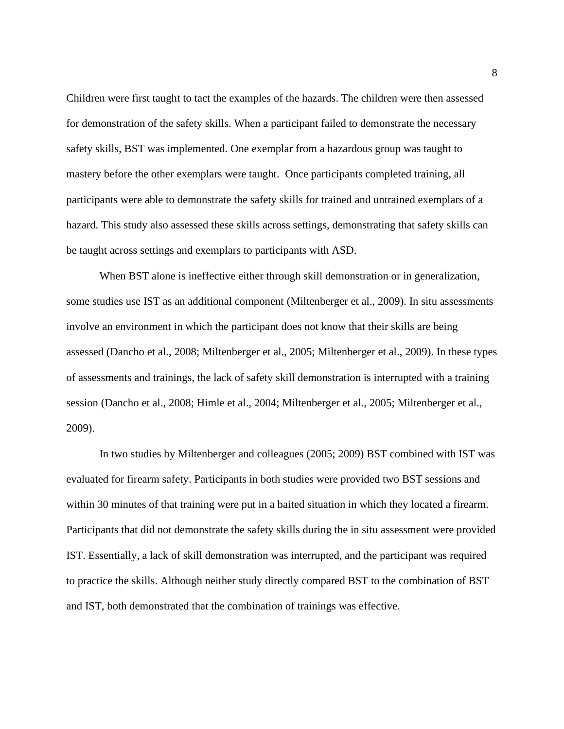Children were first taught to tact the examples of the hazards. The children were then assessed for demonstration of the safety skills. When a participant failed to demonstrate the necessary safety skills, BST was implemented. One exemplar from a hazardous group was taught to mastery before the other exemplars were taught. Once participants completed training, all participants were able to demonstrate the safety skills for trained and untrained exemplars of a hazard. This study also assessed these skills across settings, demonstrating that safety skills can be taught across settings and exemplars to participants with ASD.

When BST alone is ineffective either through skill demonstration or in generalization, some studies use IST as an additional component (Miltenberger et al., 2009). In situ assessments involve an environment in which the participant does not know that their skills are being assessed (Dancho et al., 2008; Miltenberger et al., 2005; Miltenberger et al., 2009). In these types of assessments and trainings, the lack of safety skill demonstration is interrupted with a training session (Dancho et al., 2008; Himle et al., 2004; Miltenberger et al., 2005; Miltenberger et al., 2009).

In two studies by Miltenberger and colleagues (2005; 2009) BST combined with IST was evaluated for firearm safety. Participants in both studies were provided two BST sessions and within 30 minutes of that training were put in a baited situation in which they located a firearm. Participants that did not demonstrate the safety skills during the in situ assessment were provided IST. Essentially, a lack of skill demonstration was interrupted, and the participant was required to practice the skills. Although neither study directly compared BST to the combination of BST and IST, both demonstrated that the combination of trainings was effective.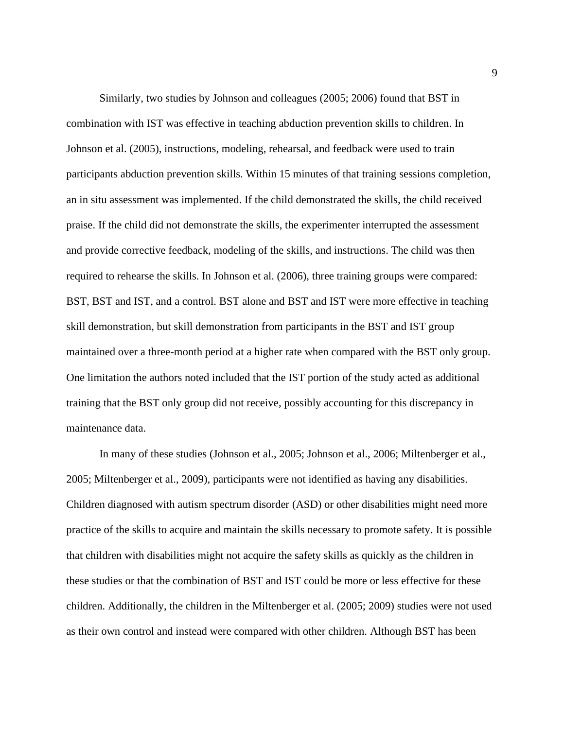Similarly, two studies by Johnson and colleagues (2005; 2006) found that BST in combination with IST was effective in teaching abduction prevention skills to children. In Johnson et al. (2005), instructions, modeling, rehearsal, and feedback were used to train participants abduction prevention skills. Within 15 minutes of that training sessions completion, an in situ assessment was implemented. If the child demonstrated the skills, the child received praise. If the child did not demonstrate the skills, the experimenter interrupted the assessment and provide corrective feedback, modeling of the skills, and instructions. The child was then required to rehearse the skills. In Johnson et al. (2006), three training groups were compared: BST, BST and IST, and a control. BST alone and BST and IST were more effective in teaching skill demonstration, but skill demonstration from participants in the BST and IST group maintained over a three-month period at a higher rate when compared with the BST only group. One limitation the authors noted included that the IST portion of the study acted as additional training that the BST only group did not receive, possibly accounting for this discrepancy in maintenance data.

In many of these studies (Johnson et al., 2005; Johnson et al., 2006; Miltenberger et al., 2005; Miltenberger et al., 2009), participants were not identified as having any disabilities. Children diagnosed with autism spectrum disorder (ASD) or other disabilities might need more practice of the skills to acquire and maintain the skills necessary to promote safety. It is possible that children with disabilities might not acquire the safety skills as quickly as the children in these studies or that the combination of BST and IST could be more or less effective for these children. Additionally, the children in the Miltenberger et al. (2005; 2009) studies were not used as their own control and instead were compared with other children. Although BST has been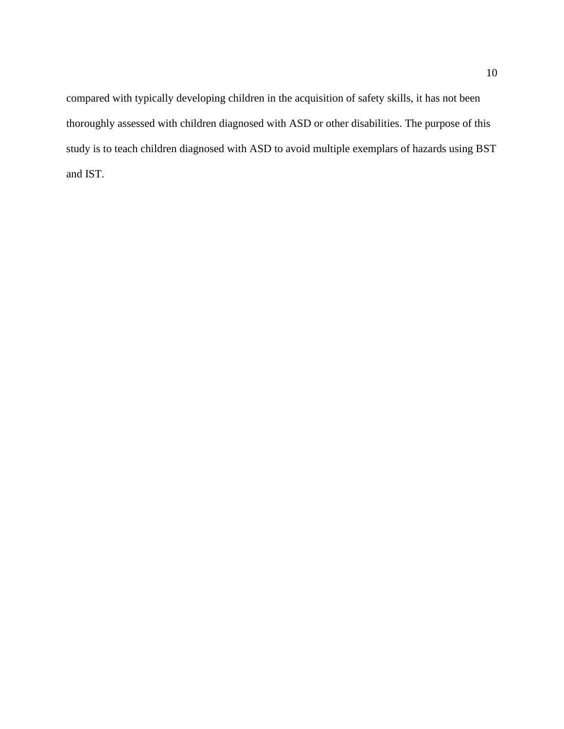compared with typically developing children in the acquisition of safety skills, it has not been thoroughly assessed with children diagnosed with ASD or other disabilities. The purpose of this study is to teach children diagnosed with ASD to avoid multiple exemplars of hazards using BST and IST.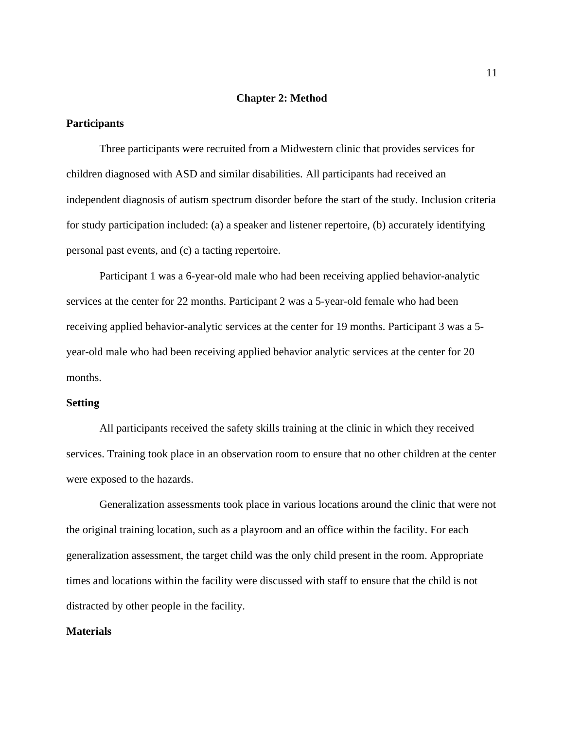#### **Chapter 2: Method**

#### **Participants**

Three participants were recruited from a Midwestern clinic that provides services for children diagnosed with ASD and similar disabilities. All participants had received an independent diagnosis of autism spectrum disorder before the start of the study. Inclusion criteria for study participation included: (a) a speaker and listener repertoire, (b) accurately identifying personal past events, and (c) a tacting repertoire.

Participant 1 was a 6-year-old male who had been receiving applied behavior-analytic services at the center for 22 months. Participant 2 was a 5-year-old female who had been receiving applied behavior-analytic services at the center for 19 months. Participant 3 was a 5 year-old male who had been receiving applied behavior analytic services at the center for 20 months.

#### **Setting**

All participants received the safety skills training at the clinic in which they received services. Training took place in an observation room to ensure that no other children at the center were exposed to the hazards.

Generalization assessments took place in various locations around the clinic that were not the original training location, such as a playroom and an office within the facility. For each generalization assessment, the target child was the only child present in the room. Appropriate times and locations within the facility were discussed with staff to ensure that the child is not distracted by other people in the facility.

#### **Materials**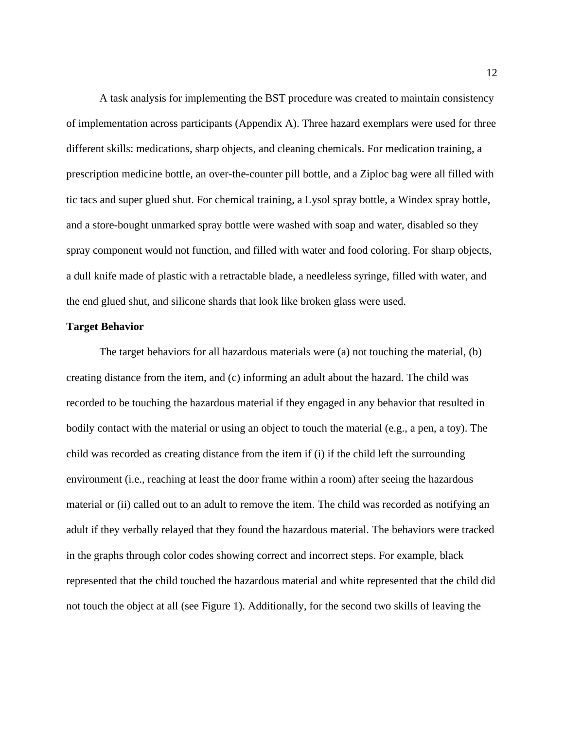A task analysis for implementing the BST procedure was created to maintain consistency of implementation across participants (Appendix A). Three hazard exemplars were used for three different skills: medications, sharp objects, and cleaning chemicals. For medication training, a prescription medicine bottle, an over-the-counter pill bottle, and a Ziploc bag were all filled with tic tacs and super glued shut. For chemical training, a Lysol spray bottle, a Windex spray bottle, and a store-bought unmarked spray bottle were washed with soap and water, disabled so they spray component would not function, and filled with water and food coloring. For sharp objects, a dull knife made of plastic with a retractable blade, a needleless syringe, filled with water, and the end glued shut, and silicone shards that look like broken glass were used.

#### **Target Behavior**

The target behaviors for all hazardous materials were (a) not touching the material, (b) creating distance from the item, and (c) informing an adult about the hazard. The child was recorded to be touching the hazardous material if they engaged in any behavior that resulted in bodily contact with the material or using an object to touch the material (e.g., a pen, a toy). The child was recorded as creating distance from the item if (i) if the child left the surrounding environment (i.e., reaching at least the door frame within a room) after seeing the hazardous material or (ii) called out to an adult to remove the item. The child was recorded as notifying an adult if they verbally relayed that they found the hazardous material. The behaviors were tracked in the graphs through color codes showing correct and incorrect steps. For example, black represented that the child touched the hazardous material and white represented that the child did not touch the object at all (see Figure 1). Additionally, for the second two skills of leaving the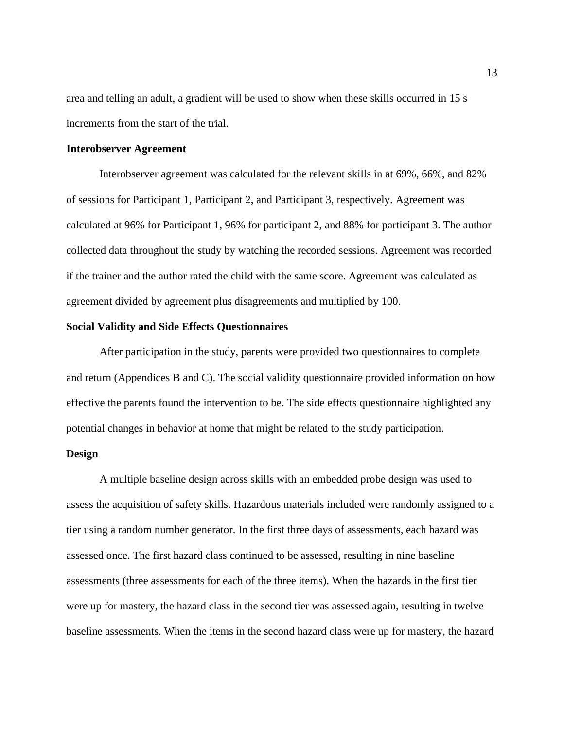area and telling an adult, a gradient will be used to show when these skills occurred in 15 s increments from the start of the trial.

#### **Interobserver Agreement**

Interobserver agreement was calculated for the relevant skills in at 69%, 66%, and 82% of sessions for Participant 1, Participant 2, and Participant 3, respectively. Agreement was calculated at 96% for Participant 1, 96% for participant 2, and 88% for participant 3. The author collected data throughout the study by watching the recorded sessions. Agreement was recorded if the trainer and the author rated the child with the same score. Agreement was calculated as agreement divided by agreement plus disagreements and multiplied by 100.

#### **Social Validity and Side Effects Questionnaires**

After participation in the study, parents were provided two questionnaires to complete and return (Appendices B and C). The social validity questionnaire provided information on how effective the parents found the intervention to be. The side effects questionnaire highlighted any potential changes in behavior at home that might be related to the study participation.

#### **Design**

A multiple baseline design across skills with an embedded probe design was used to assess the acquisition of safety skills. Hazardous materials included were randomly assigned to a tier using a random number generator. In the first three days of assessments, each hazard was assessed once. The first hazard class continued to be assessed, resulting in nine baseline assessments (three assessments for each of the three items). When the hazards in the first tier were up for mastery, the hazard class in the second tier was assessed again, resulting in twelve baseline assessments. When the items in the second hazard class were up for mastery, the hazard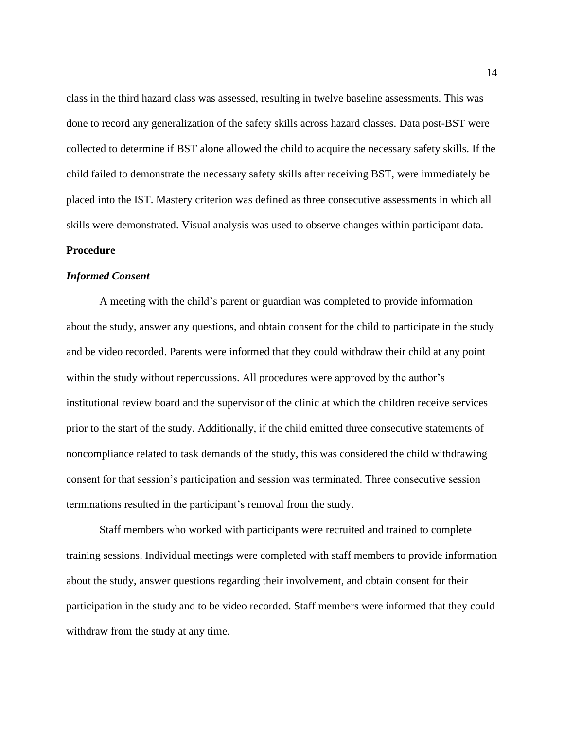class in the third hazard class was assessed, resulting in twelve baseline assessments. This was done to record any generalization of the safety skills across hazard classes. Data post-BST were collected to determine if BST alone allowed the child to acquire the necessary safety skills. If the child failed to demonstrate the necessary safety skills after receiving BST, were immediately be placed into the IST. Mastery criterion was defined as three consecutive assessments in which all skills were demonstrated. Visual analysis was used to observe changes within participant data.

#### **Procedure**

#### *Informed Consent*

A meeting with the child's parent or guardian was completed to provide information about the study, answer any questions, and obtain consent for the child to participate in the study and be video recorded. Parents were informed that they could withdraw their child at any point within the study without repercussions. All procedures were approved by the author's institutional review board and the supervisor of the clinic at which the children receive services prior to the start of the study. Additionally, if the child emitted three consecutive statements of noncompliance related to task demands of the study, this was considered the child withdrawing consent for that session's participation and session was terminated. Three consecutive session terminations resulted in the participant's removal from the study.

Staff members who worked with participants were recruited and trained to complete training sessions. Individual meetings were completed with staff members to provide information about the study, answer questions regarding their involvement, and obtain consent for their participation in the study and to be video recorded. Staff members were informed that they could withdraw from the study at any time.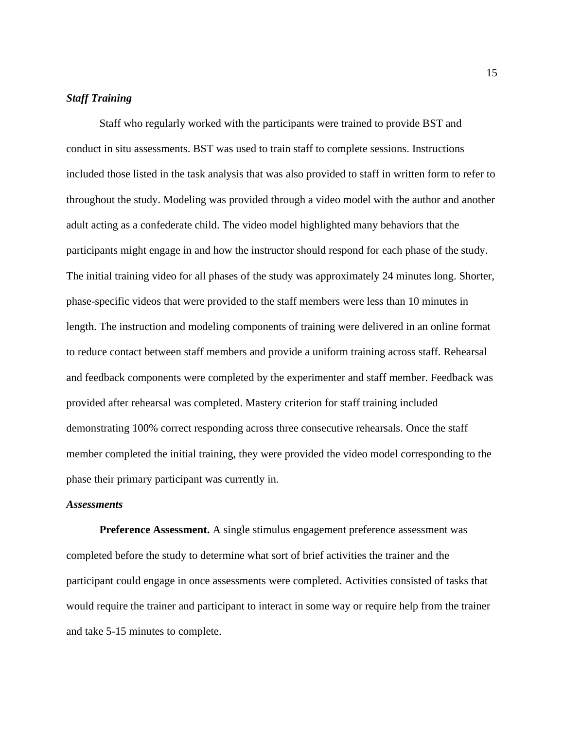#### *Staff Training*

Staff who regularly worked with the participants were trained to provide BST and conduct in situ assessments. BST was used to train staff to complete sessions. Instructions included those listed in the task analysis that was also provided to staff in written form to refer to throughout the study. Modeling was provided through a video model with the author and another adult acting as a confederate child. The video model highlighted many behaviors that the participants might engage in and how the instructor should respond for each phase of the study. The initial training video for all phases of the study was approximately 24 minutes long. Shorter, phase-specific videos that were provided to the staff members were less than 10 minutes in length. The instruction and modeling components of training were delivered in an online format to reduce contact between staff members and provide a uniform training across staff. Rehearsal and feedback components were completed by the experimenter and staff member. Feedback was provided after rehearsal was completed. Mastery criterion for staff training included demonstrating 100% correct responding across three consecutive rehearsals. Once the staff member completed the initial training, they were provided the video model corresponding to the phase their primary participant was currently in.

#### *Assessments*

**Preference Assessment.** A single stimulus engagement preference assessment was completed before the study to determine what sort of brief activities the trainer and the participant could engage in once assessments were completed. Activities consisted of tasks that would require the trainer and participant to interact in some way or require help from the trainer and take 5-15 minutes to complete.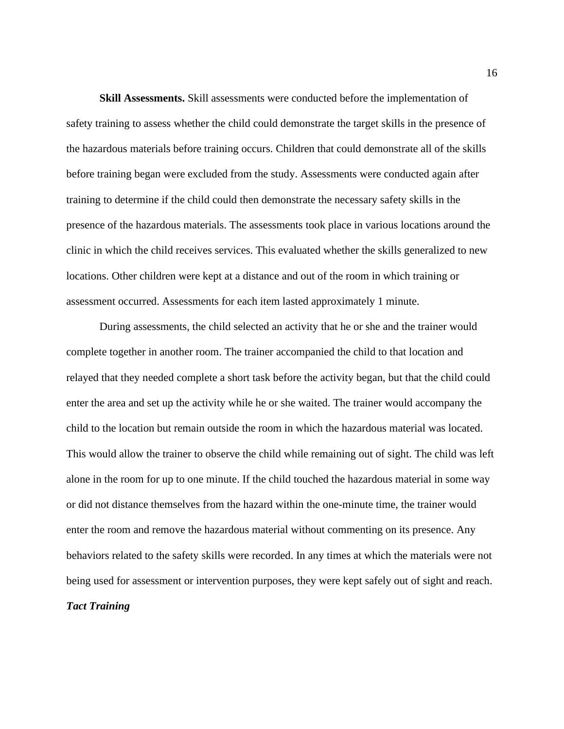**Skill Assessments.** Skill assessments were conducted before the implementation of safety training to assess whether the child could demonstrate the target skills in the presence of the hazardous materials before training occurs. Children that could demonstrate all of the skills before training began were excluded from the study. Assessments were conducted again after training to determine if the child could then demonstrate the necessary safety skills in the presence of the hazardous materials. The assessments took place in various locations around the clinic in which the child receives services. This evaluated whether the skills generalized to new locations. Other children were kept at a distance and out of the room in which training or assessment occurred. Assessments for each item lasted approximately 1 minute.

During assessments, the child selected an activity that he or she and the trainer would complete together in another room. The trainer accompanied the child to that location and relayed that they needed complete a short task before the activity began, but that the child could enter the area and set up the activity while he or she waited. The trainer would accompany the child to the location but remain outside the room in which the hazardous material was located. This would allow the trainer to observe the child while remaining out of sight. The child was left alone in the room for up to one minute. If the child touched the hazardous material in some way or did not distance themselves from the hazard within the one-minute time, the trainer would enter the room and remove the hazardous material without commenting on its presence. Any behaviors related to the safety skills were recorded. In any times at which the materials were not being used for assessment or intervention purposes, they were kept safely out of sight and reach. *Tact Training*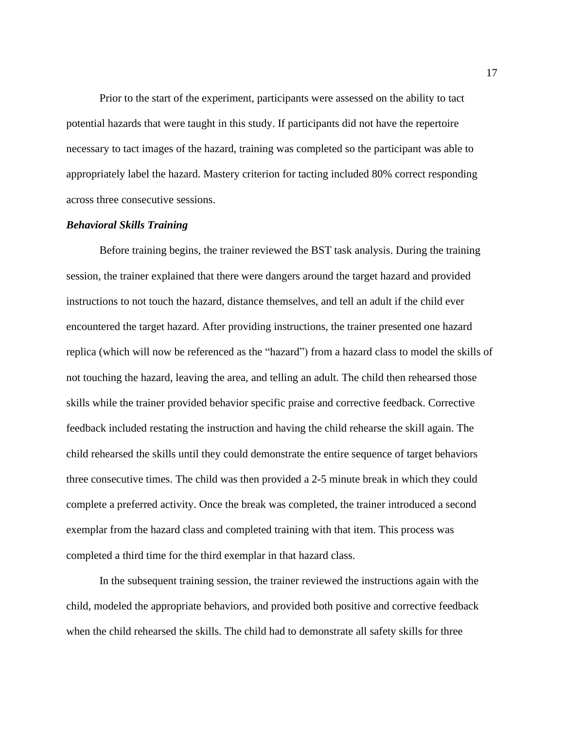Prior to the start of the experiment, participants were assessed on the ability to tact potential hazards that were taught in this study. If participants did not have the repertoire necessary to tact images of the hazard, training was completed so the participant was able to appropriately label the hazard. Mastery criterion for tacting included 80% correct responding across three consecutive sessions.

#### *Behavioral Skills Training*

Before training begins, the trainer reviewed the BST task analysis. During the training session, the trainer explained that there were dangers around the target hazard and provided instructions to not touch the hazard, distance themselves, and tell an adult if the child ever encountered the target hazard. After providing instructions, the trainer presented one hazard replica (which will now be referenced as the "hazard") from a hazard class to model the skills of not touching the hazard, leaving the area, and telling an adult. The child then rehearsed those skills while the trainer provided behavior specific praise and corrective feedback. Corrective feedback included restating the instruction and having the child rehearse the skill again. The child rehearsed the skills until they could demonstrate the entire sequence of target behaviors three consecutive times. The child was then provided a 2-5 minute break in which they could complete a preferred activity. Once the break was completed, the trainer introduced a second exemplar from the hazard class and completed training with that item. This process was completed a third time for the third exemplar in that hazard class.

In the subsequent training session, the trainer reviewed the instructions again with the child, modeled the appropriate behaviors, and provided both positive and corrective feedback when the child rehearsed the skills. The child had to demonstrate all safety skills for three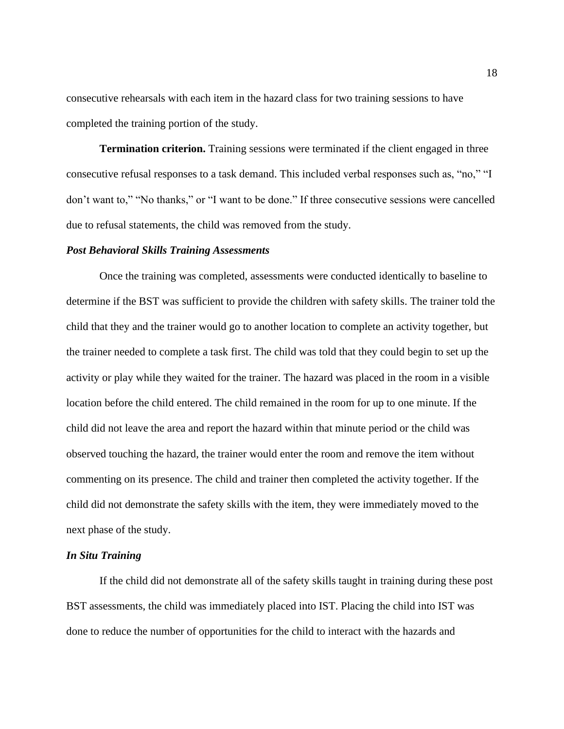consecutive rehearsals with each item in the hazard class for two training sessions to have completed the training portion of the study.

**Termination criterion.** Training sessions were terminated if the client engaged in three consecutive refusal responses to a task demand. This included verbal responses such as, "no," "I don't want to," "No thanks," or "I want to be done." If three consecutive sessions were cancelled due to refusal statements, the child was removed from the study.

#### *Post Behavioral Skills Training Assessments*

Once the training was completed, assessments were conducted identically to baseline to determine if the BST was sufficient to provide the children with safety skills. The trainer told the child that they and the trainer would go to another location to complete an activity together, but the trainer needed to complete a task first. The child was told that they could begin to set up the activity or play while they waited for the trainer. The hazard was placed in the room in a visible location before the child entered. The child remained in the room for up to one minute. If the child did not leave the area and report the hazard within that minute period or the child was observed touching the hazard, the trainer would enter the room and remove the item without commenting on its presence. The child and trainer then completed the activity together. If the child did not demonstrate the safety skills with the item, they were immediately moved to the next phase of the study.

#### *In Situ Training*

If the child did not demonstrate all of the safety skills taught in training during these post BST assessments, the child was immediately placed into IST. Placing the child into IST was done to reduce the number of opportunities for the child to interact with the hazards and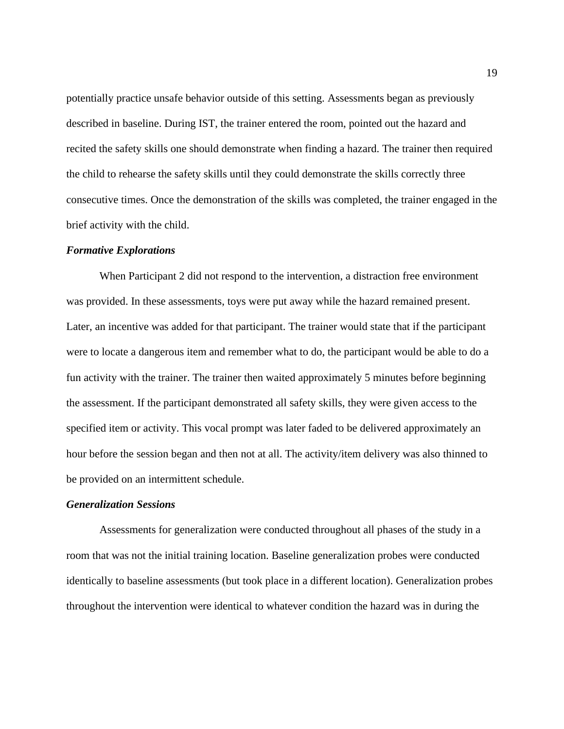potentially practice unsafe behavior outside of this setting. Assessments began as previously described in baseline. During IST, the trainer entered the room, pointed out the hazard and recited the safety skills one should demonstrate when finding a hazard. The trainer then required the child to rehearse the safety skills until they could demonstrate the skills correctly three consecutive times. Once the demonstration of the skills was completed, the trainer engaged in the brief activity with the child.

#### *Formative Explorations*

When Participant 2 did not respond to the intervention, a distraction free environment was provided. In these assessments, toys were put away while the hazard remained present. Later, an incentive was added for that participant. The trainer would state that if the participant were to locate a dangerous item and remember what to do, the participant would be able to do a fun activity with the trainer. The trainer then waited approximately 5 minutes before beginning the assessment. If the participant demonstrated all safety skills, they were given access to the specified item or activity. This vocal prompt was later faded to be delivered approximately an hour before the session began and then not at all. The activity/item delivery was also thinned to be provided on an intermittent schedule.

#### *Generalization Sessions*

Assessments for generalization were conducted throughout all phases of the study in a room that was not the initial training location. Baseline generalization probes were conducted identically to baseline assessments (but took place in a different location). Generalization probes throughout the intervention were identical to whatever condition the hazard was in during the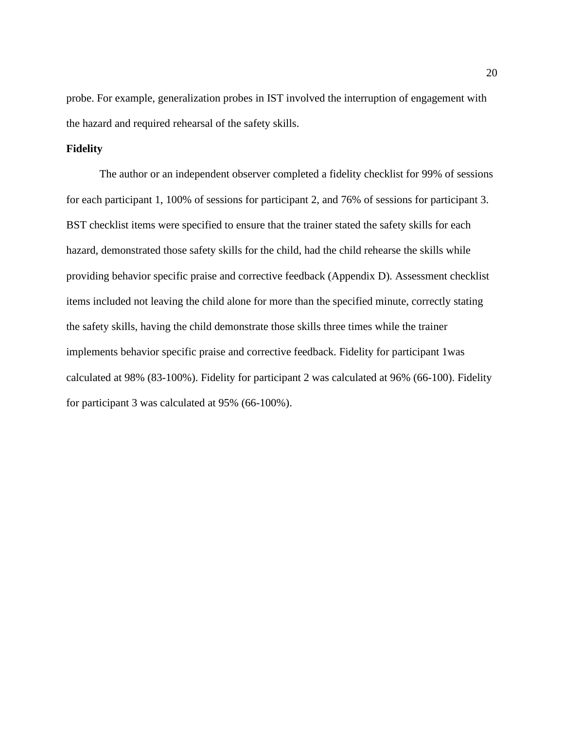probe. For example, generalization probes in IST involved the interruption of engagement with the hazard and required rehearsal of the safety skills.

### **Fidelity**

The author or an independent observer completed a fidelity checklist for 99% of sessions for each participant 1, 100% of sessions for participant 2, and 76% of sessions for participant 3. BST checklist items were specified to ensure that the trainer stated the safety skills for each hazard, demonstrated those safety skills for the child, had the child rehearse the skills while providing behavior specific praise and corrective feedback (Appendix D). Assessment checklist items included not leaving the child alone for more than the specified minute, correctly stating the safety skills, having the child demonstrate those skills three times while the trainer implements behavior specific praise and corrective feedback. Fidelity for participant 1was calculated at 98% (83-100%). Fidelity for participant 2 was calculated at 96% (66-100). Fidelity for participant 3 was calculated at 95% (66-100%).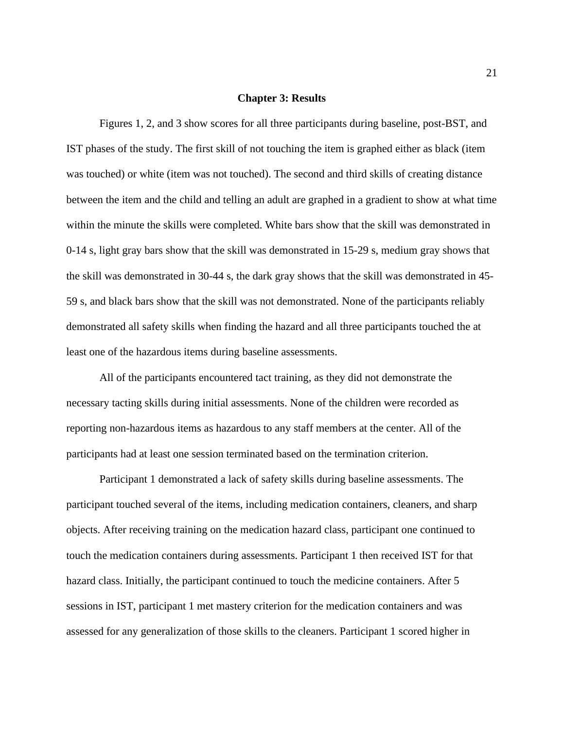#### **Chapter 3: Results**

Figures 1, 2, and 3 show scores for all three participants during baseline, post-BST, and IST phases of the study. The first skill of not touching the item is graphed either as black (item was touched) or white (item was not touched). The second and third skills of creating distance between the item and the child and telling an adult are graphed in a gradient to show at what time within the minute the skills were completed. White bars show that the skill was demonstrated in 0-14 s, light gray bars show that the skill was demonstrated in 15-29 s, medium gray shows that the skill was demonstrated in 30-44 s, the dark gray shows that the skill was demonstrated in 45- 59 s, and black bars show that the skill was not demonstrated. None of the participants reliably demonstrated all safety skills when finding the hazard and all three participants touched the at least one of the hazardous items during baseline assessments.

All of the participants encountered tact training, as they did not demonstrate the necessary tacting skills during initial assessments. None of the children were recorded as reporting non-hazardous items as hazardous to any staff members at the center. All of the participants had at least one session terminated based on the termination criterion.

Participant 1 demonstrated a lack of safety skills during baseline assessments. The participant touched several of the items, including medication containers, cleaners, and sharp objects. After receiving training on the medication hazard class, participant one continued to touch the medication containers during assessments. Participant 1 then received IST for that hazard class. Initially, the participant continued to touch the medicine containers. After 5 sessions in IST, participant 1 met mastery criterion for the medication containers and was assessed for any generalization of those skills to the cleaners. Participant 1 scored higher in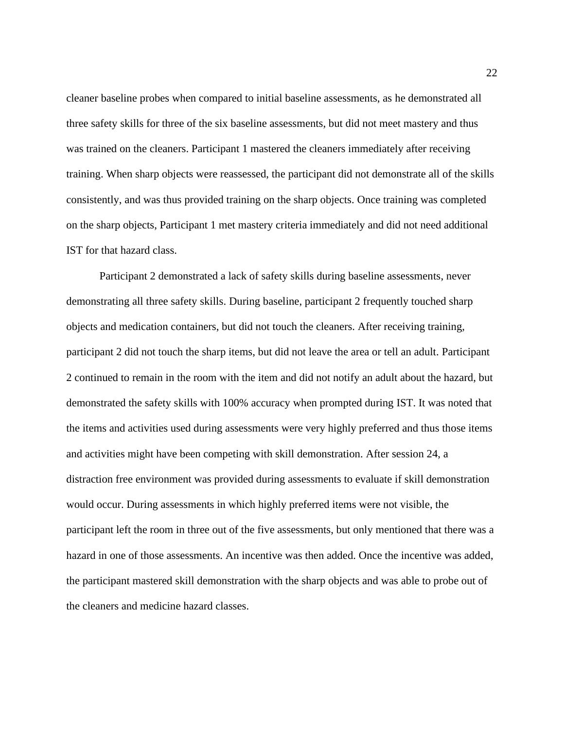cleaner baseline probes when compared to initial baseline assessments, as he demonstrated all three safety skills for three of the six baseline assessments, but did not meet mastery and thus was trained on the cleaners. Participant 1 mastered the cleaners immediately after receiving training. When sharp objects were reassessed, the participant did not demonstrate all of the skills consistently, and was thus provided training on the sharp objects. Once training was completed on the sharp objects, Participant 1 met mastery criteria immediately and did not need additional IST for that hazard class.

Participant 2 demonstrated a lack of safety skills during baseline assessments, never demonstrating all three safety skills. During baseline, participant 2 frequently touched sharp objects and medication containers, but did not touch the cleaners. After receiving training, participant 2 did not touch the sharp items, but did not leave the area or tell an adult. Participant 2 continued to remain in the room with the item and did not notify an adult about the hazard, but demonstrated the safety skills with 100% accuracy when prompted during IST. It was noted that the items and activities used during assessments were very highly preferred and thus those items and activities might have been competing with skill demonstration. After session 24, a distraction free environment was provided during assessments to evaluate if skill demonstration would occur. During assessments in which highly preferred items were not visible, the participant left the room in three out of the five assessments, but only mentioned that there was a hazard in one of those assessments. An incentive was then added. Once the incentive was added, the participant mastered skill demonstration with the sharp objects and was able to probe out of the cleaners and medicine hazard classes.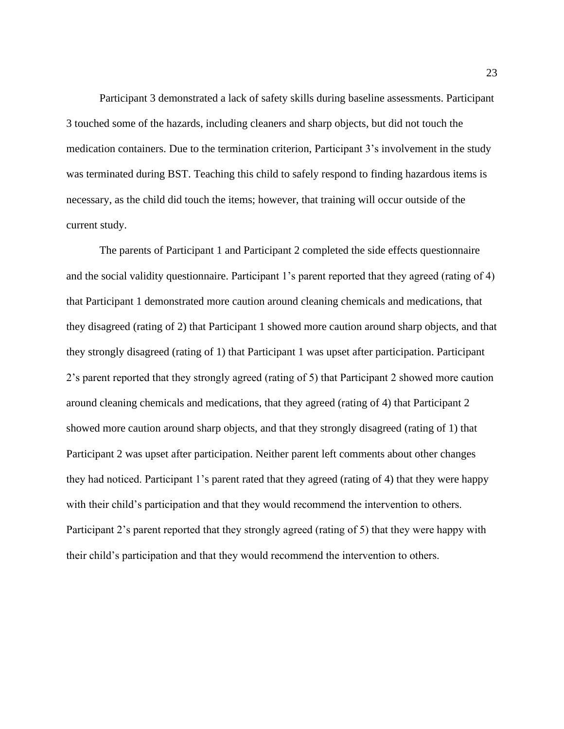Participant 3 demonstrated a lack of safety skills during baseline assessments. Participant 3 touched some of the hazards, including cleaners and sharp objects, but did not touch the medication containers. Due to the termination criterion, Participant 3's involvement in the study was terminated during BST. Teaching this child to safely respond to finding hazardous items is necessary, as the child did touch the items; however, that training will occur outside of the current study.

The parents of Participant 1 and Participant 2 completed the side effects questionnaire and the social validity questionnaire. Participant 1's parent reported that they agreed (rating of 4) that Participant 1 demonstrated more caution around cleaning chemicals and medications, that they disagreed (rating of 2) that Participant 1 showed more caution around sharp objects, and that they strongly disagreed (rating of 1) that Participant 1 was upset after participation. Participant 2's parent reported that they strongly agreed (rating of 5) that Participant 2 showed more caution around cleaning chemicals and medications, that they agreed (rating of 4) that Participant 2 showed more caution around sharp objects, and that they strongly disagreed (rating of 1) that Participant 2 was upset after participation. Neither parent left comments about other changes they had noticed. Participant 1's parent rated that they agreed (rating of 4) that they were happy with their child's participation and that they would recommend the intervention to others. Participant 2's parent reported that they strongly agreed (rating of 5) that they were happy with their child's participation and that they would recommend the intervention to others.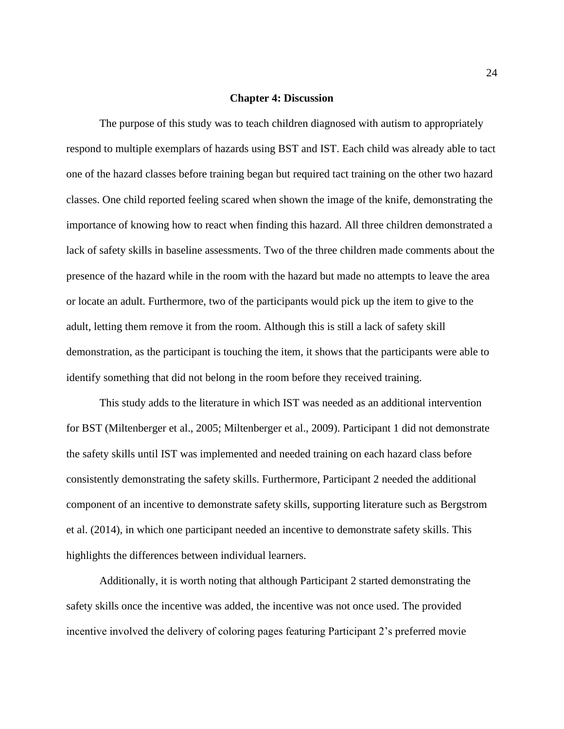#### **Chapter 4: Discussion**

The purpose of this study was to teach children diagnosed with autism to appropriately respond to multiple exemplars of hazards using BST and IST. Each child was already able to tact one of the hazard classes before training began but required tact training on the other two hazard classes. One child reported feeling scared when shown the image of the knife, demonstrating the importance of knowing how to react when finding this hazard. All three children demonstrated a lack of safety skills in baseline assessments. Two of the three children made comments about the presence of the hazard while in the room with the hazard but made no attempts to leave the area or locate an adult. Furthermore, two of the participants would pick up the item to give to the adult, letting them remove it from the room. Although this is still a lack of safety skill demonstration, as the participant is touching the item, it shows that the participants were able to identify something that did not belong in the room before they received training.

This study adds to the literature in which IST was needed as an additional intervention for BST (Miltenberger et al., 2005; Miltenberger et al., 2009). Participant 1 did not demonstrate the safety skills until IST was implemented and needed training on each hazard class before consistently demonstrating the safety skills. Furthermore, Participant 2 needed the additional component of an incentive to demonstrate safety skills, supporting literature such as Bergstrom et al. (2014), in which one participant needed an incentive to demonstrate safety skills. This highlights the differences between individual learners.

Additionally, it is worth noting that although Participant 2 started demonstrating the safety skills once the incentive was added, the incentive was not once used. The provided incentive involved the delivery of coloring pages featuring Participant 2's preferred movie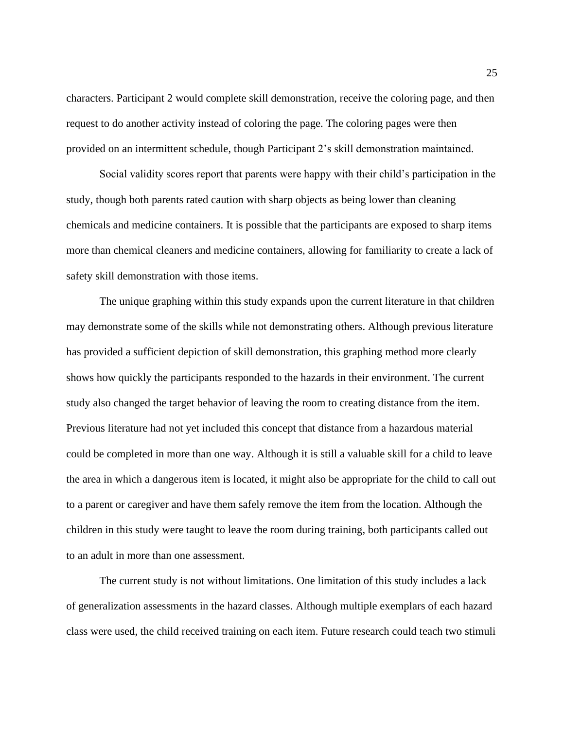characters. Participant 2 would complete skill demonstration, receive the coloring page, and then request to do another activity instead of coloring the page. The coloring pages were then provided on an intermittent schedule, though Participant 2's skill demonstration maintained.

Social validity scores report that parents were happy with their child's participation in the study, though both parents rated caution with sharp objects as being lower than cleaning chemicals and medicine containers. It is possible that the participants are exposed to sharp items more than chemical cleaners and medicine containers, allowing for familiarity to create a lack of safety skill demonstration with those items.

The unique graphing within this study expands upon the current literature in that children may demonstrate some of the skills while not demonstrating others. Although previous literature has provided a sufficient depiction of skill demonstration, this graphing method more clearly shows how quickly the participants responded to the hazards in their environment. The current study also changed the target behavior of leaving the room to creating distance from the item. Previous literature had not yet included this concept that distance from a hazardous material could be completed in more than one way. Although it is still a valuable skill for a child to leave the area in which a dangerous item is located, it might also be appropriate for the child to call out to a parent or caregiver and have them safely remove the item from the location. Although the children in this study were taught to leave the room during training, both participants called out to an adult in more than one assessment.

The current study is not without limitations. One limitation of this study includes a lack of generalization assessments in the hazard classes. Although multiple exemplars of each hazard class were used, the child received training on each item. Future research could teach two stimuli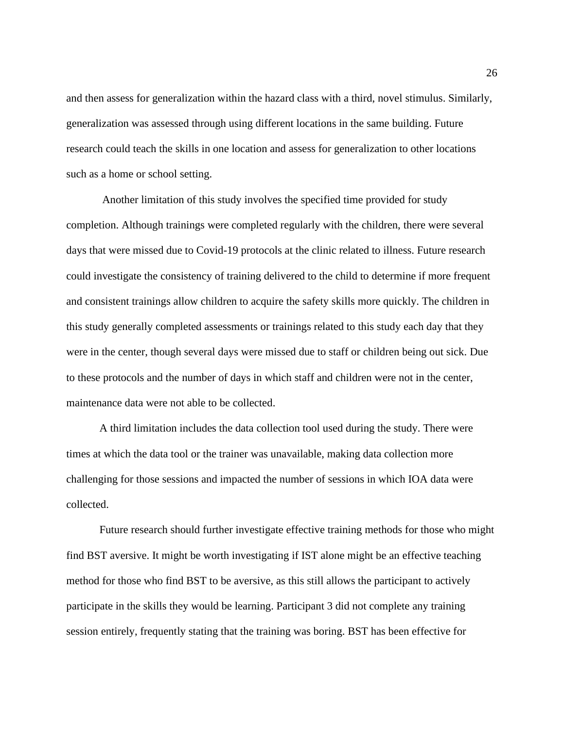and then assess for generalization within the hazard class with a third, novel stimulus. Similarly, generalization was assessed through using different locations in the same building. Future research could teach the skills in one location and assess for generalization to other locations such as a home or school setting.

Another limitation of this study involves the specified time provided for study completion. Although trainings were completed regularly with the children, there were several days that were missed due to Covid-19 protocols at the clinic related to illness. Future research could investigate the consistency of training delivered to the child to determine if more frequent and consistent trainings allow children to acquire the safety skills more quickly. The children in this study generally completed assessments or trainings related to this study each day that they were in the center, though several days were missed due to staff or children being out sick. Due to these protocols and the number of days in which staff and children were not in the center, maintenance data were not able to be collected.

A third limitation includes the data collection tool used during the study. There were times at which the data tool or the trainer was unavailable, making data collection more challenging for those sessions and impacted the number of sessions in which IOA data were collected.

Future research should further investigate effective training methods for those who might find BST aversive. It might be worth investigating if IST alone might be an effective teaching method for those who find BST to be aversive, as this still allows the participant to actively participate in the skills they would be learning. Participant 3 did not complete any training session entirely, frequently stating that the training was boring. BST has been effective for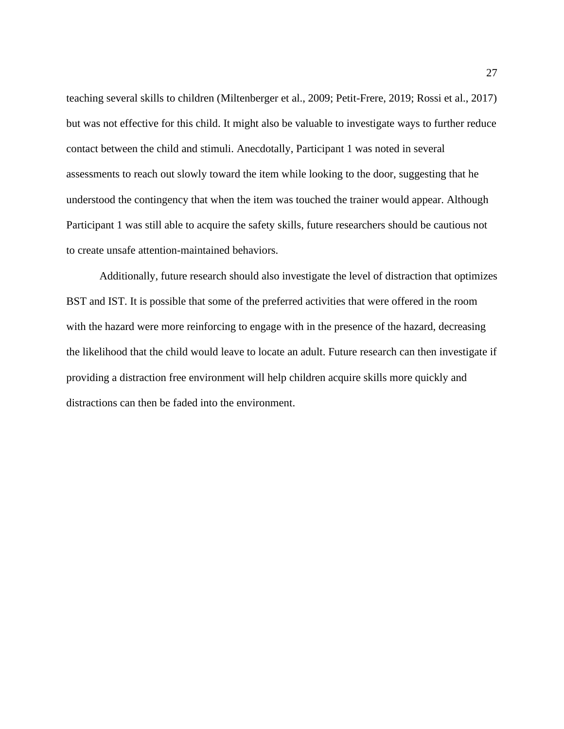teaching several skills to children (Miltenberger et al., 2009; Petit-Frere, 2019; Rossi et al., 2017) but was not effective for this child. It might also be valuable to investigate ways to further reduce contact between the child and stimuli. Anecdotally, Participant 1 was noted in several assessments to reach out slowly toward the item while looking to the door, suggesting that he understood the contingency that when the item was touched the trainer would appear. Although Participant 1 was still able to acquire the safety skills, future researchers should be cautious not to create unsafe attention-maintained behaviors.

Additionally, future research should also investigate the level of distraction that optimizes BST and IST. It is possible that some of the preferred activities that were offered in the room with the hazard were more reinforcing to engage with in the presence of the hazard, decreasing the likelihood that the child would leave to locate an adult. Future research can then investigate if providing a distraction free environment will help children acquire skills more quickly and distractions can then be faded into the environment.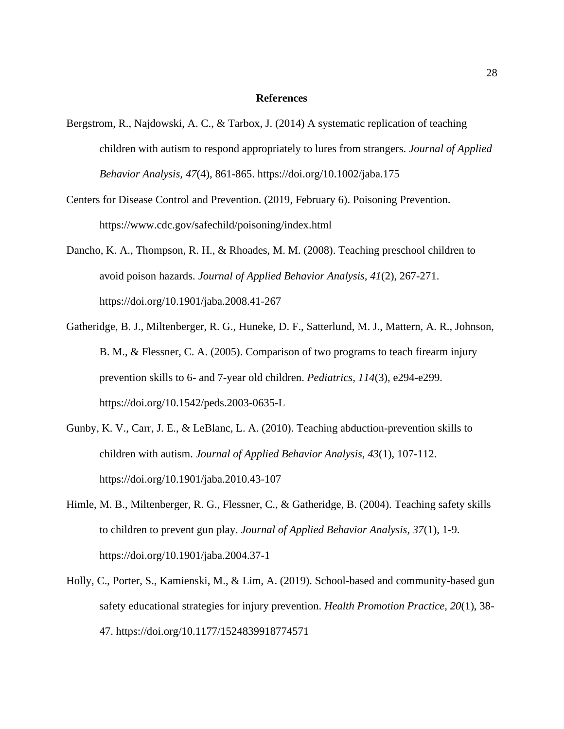#### **References**

- Bergstrom, R., Najdowski, A. C., & Tarbox, J. (2014) A systematic replication of teaching children with autism to respond appropriately to lures from strangers. *Journal of Applied Behavior Analysis, 47*(4), 861-865. https://doi.org/10.1002/jaba.175
- Centers for Disease Control and Prevention. (2019, February 6). Poisoning Prevention. https://www.cdc.gov/safechild/poisoning/index.html
- Dancho, K. A., Thompson, R. H., & Rhoades, M. M. (2008). Teaching preschool children to avoid poison hazards. *Journal of Applied Behavior Analysis, 41*(2), 267-271. https://doi.org/10.1901/jaba.2008.41-267
- Gatheridge, B. J., Miltenberger, R. G., Huneke, D. F., Satterlund, M. J., Mattern, A. R., Johnson, B. M., & Flessner, C. A. (2005). Comparison of two programs to teach firearm injury prevention skills to 6- and 7-year old children. *Pediatrics, 114*(3), e294-e299. https://doi.org/10.1542/peds.2003-0635-L
- Gunby, K. V., Carr, J. E., & LeBlanc, L. A. (2010). Teaching abduction-prevention skills to children with autism. *Journal of Applied Behavior Analysis, 43*(1), 107-112. https://doi.org/10.1901/jaba.2010.43-107
- Himle, M. B., Miltenberger, R. G., Flessner, C., & Gatheridge, B. (2004). Teaching safety skills to children to prevent gun play. *Journal of Applied Behavior Analysis, 37*(1), 1-9. https://doi.org/10.1901/jaba.2004.37-1
- Holly, C., Porter, S., Kamienski, M., & Lim, A. (2019). School-based and community-based gun safety educational strategies for injury prevention. *Health Promotion Practice, 20*(1), 38- 47. https://doi.org/10.1177/1524839918774571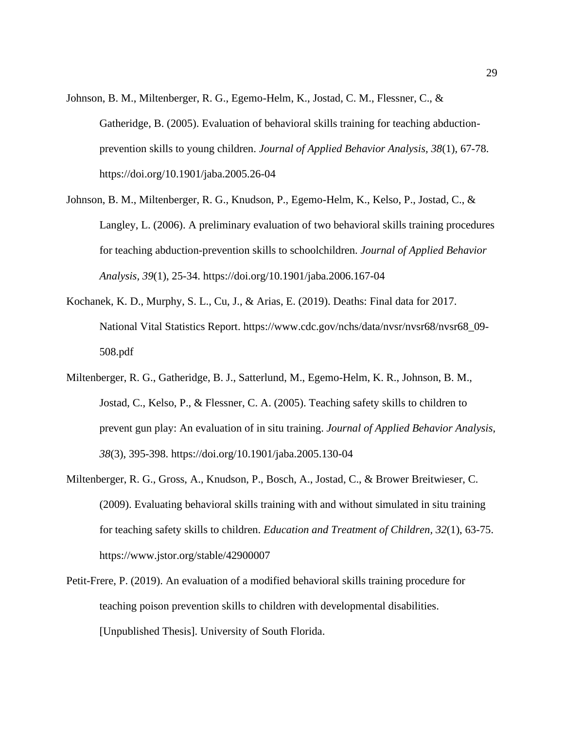- Johnson, B. M., Miltenberger, R. G., Egemo-Helm, K., Jostad, C. M., Flessner, C., & Gatheridge, B. (2005). Evaluation of behavioral skills training for teaching abductionprevention skills to young children. *Journal of Applied Behavior Analysis, 38*(1), 67-78. https://doi.org/10.1901/jaba.2005.26-04
- Johnson, B. M., Miltenberger, R. G., Knudson, P., Egemo-Helm, K., Kelso, P., Jostad, C., & Langley, L. (2006). A preliminary evaluation of two behavioral skills training procedures for teaching abduction-prevention skills to schoolchildren. *Journal of Applied Behavior Analysis, 39*(1), 25-34. https://doi.org/10.1901/jaba.2006.167-04
- Kochanek, K. D., Murphy, S. L., Cu, J., & Arias, E. (2019). Deaths: Final data for 2017. National Vital Statistics Report. https://www.cdc.gov/nchs/data/nvsr/nvsr68/nvsr68\_09- 508.pdf
- Miltenberger, R. G., Gatheridge, B. J., Satterlund, M., Egemo-Helm, K. R., Johnson, B. M., Jostad, C., Kelso, P., & Flessner, C. A. (2005). Teaching safety skills to children to prevent gun play: An evaluation of in situ training. *Journal of Applied Behavior Analysis, 38*(3), 395-398. https://doi.org/10.1901/jaba.2005.130-04
- Miltenberger, R. G., Gross, A., Knudson, P., Bosch, A., Jostad, C., & Brower Breitwieser, C. (2009). Evaluating behavioral skills training with and without simulated in situ training for teaching safety skills to children. *Education and Treatment of Children, 32*(1), 63-75. https://www.jstor.org/stable/42900007
- Petit-Frere, P. (2019). An evaluation of a modified behavioral skills training procedure for teaching poison prevention skills to children with developmental disabilities. [Unpublished Thesis]. University of South Florida.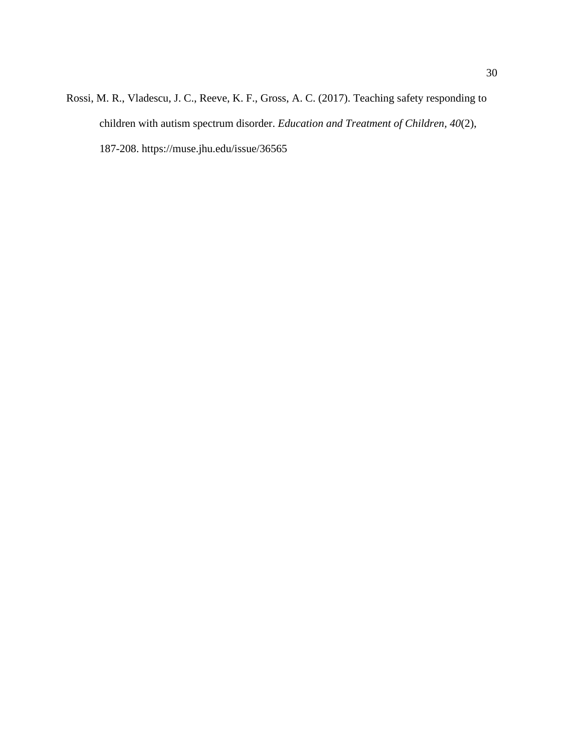Rossi, M. R., Vladescu, J. C., Reeve, K. F., Gross, A. C. (2017). Teaching safety responding to children with autism spectrum disorder. *Education and Treatment of Children, 40*(2), 187-208. https://muse.jhu.edu/issue/36565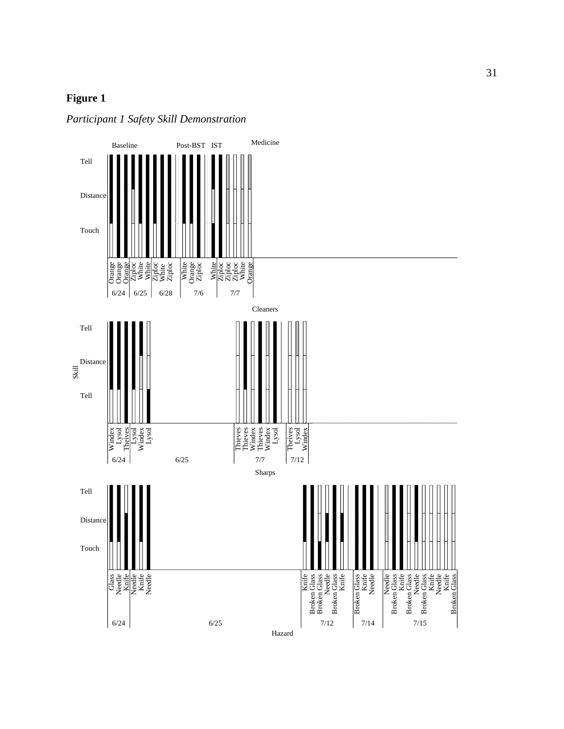## **Figure 1**



*Participant 1 Safety Skill Demonstration*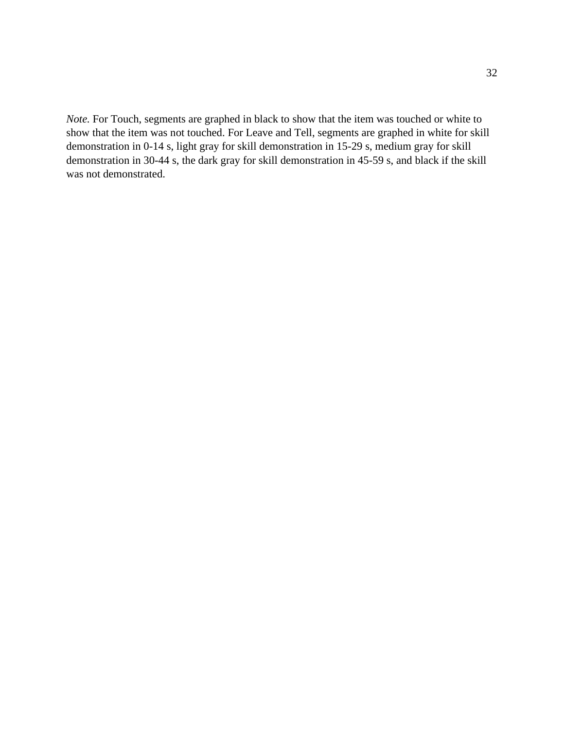*Note.* For Touch, segments are graphed in black to show that the item was touched or white to show that the item was not touched. For Leave and Tell, segments are graphed in white for skill demonstration in 0-14 s, light gray for skill demonstration in 15-29 s, medium gray for skill demonstration in 30-44 s, the dark gray for skill demonstration in 45-59 s, and black if the skill was not demonstrated.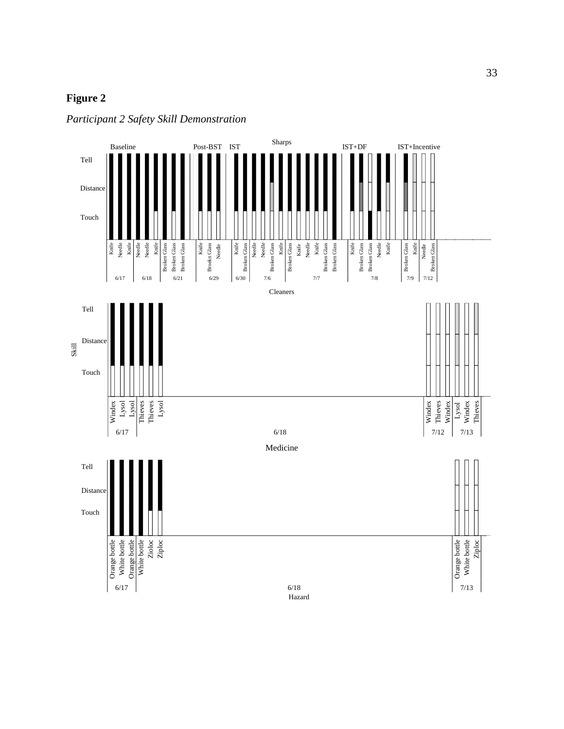## **Figure 2**



*Participant 2 Safety Skill Demonstration*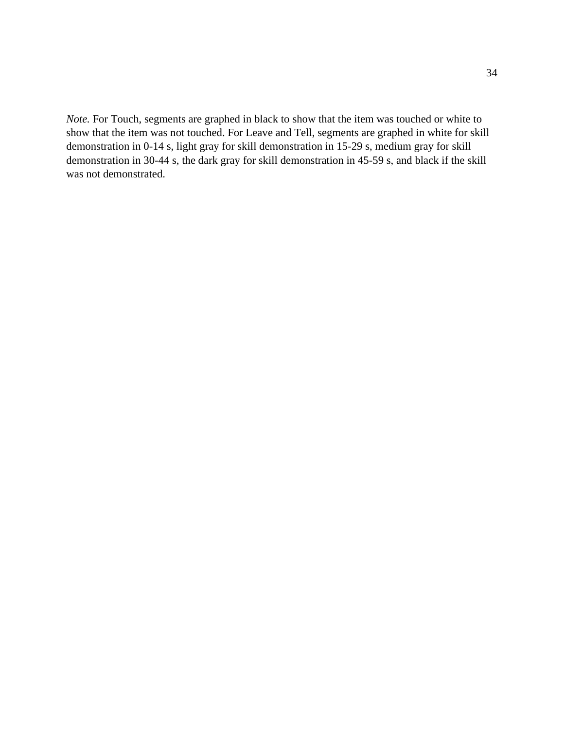*Note.* For Touch, segments are graphed in black to show that the item was touched or white to show that the item was not touched. For Leave and Tell, segments are graphed in white for skill demonstration in 0-14 s, light gray for skill demonstration in 15-29 s, medium gray for skill demonstration in 30-44 s, the dark gray for skill demonstration in 45-59 s, and black if the skill was not demonstrated.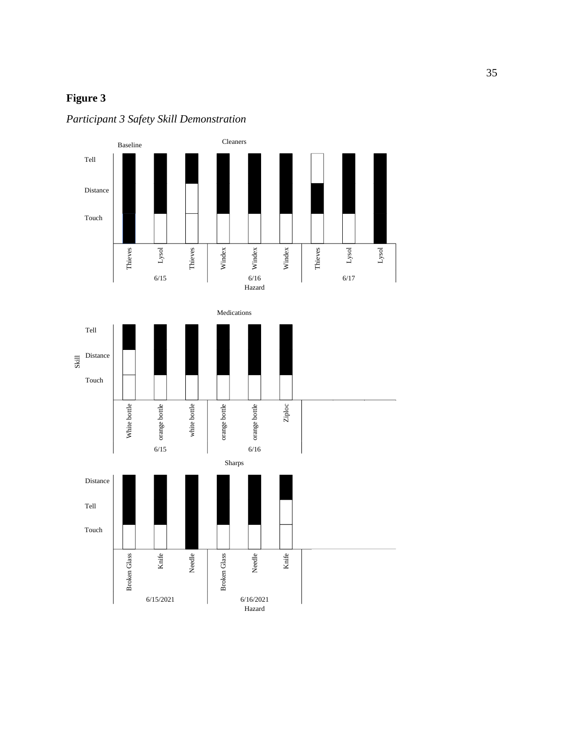## **Figure 3**

*Participant 3 Safety Skill Demonstration*

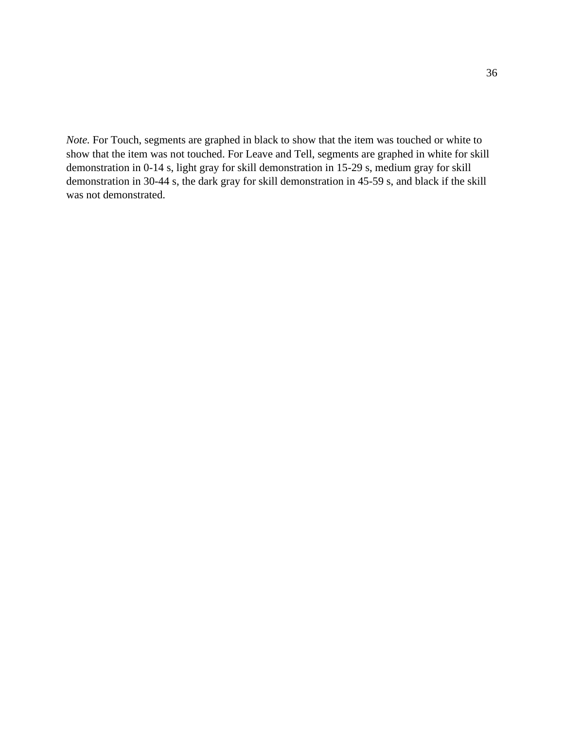*Note.* For Touch, segments are graphed in black to show that the item was touched or white to show that the item was not touched. For Leave and Tell, segments are graphed in white for skill demonstration in 0-14 s, light gray for skill demonstration in 15-29 s, medium gray for skill demonstration in 30-44 s, the dark gray for skill demonstration in 45-59 s, and black if the skill was not demonstrated.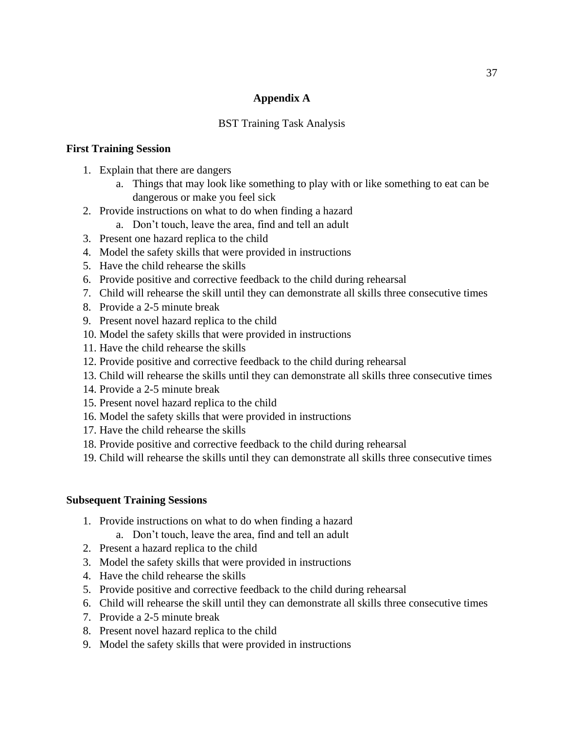### **Appendix A**

### BST Training Task Analysis

### **First Training Session**

- 1. Explain that there are dangers
	- a. Things that may look like something to play with or like something to eat can be dangerous or make you feel sick
- 2. Provide instructions on what to do when finding a hazard
	- a. Don't touch, leave the area, find and tell an adult
- 3. Present one hazard replica to the child
- 4. Model the safety skills that were provided in instructions
- 5. Have the child rehearse the skills
- 6. Provide positive and corrective feedback to the child during rehearsal
- 7. Child will rehearse the skill until they can demonstrate all skills three consecutive times
- 8. Provide a 2-5 minute break
- 9. Present novel hazard replica to the child
- 10. Model the safety skills that were provided in instructions
- 11. Have the child rehearse the skills
- 12. Provide positive and corrective feedback to the child during rehearsal
- 13. Child will rehearse the skills until they can demonstrate all skills three consecutive times
- 14. Provide a 2-5 minute break
- 15. Present novel hazard replica to the child
- 16. Model the safety skills that were provided in instructions
- 17. Have the child rehearse the skills
- 18. Provide positive and corrective feedback to the child during rehearsal
- 19. Child will rehearse the skills until they can demonstrate all skills three consecutive times

### **Subsequent Training Sessions**

- 1. Provide instructions on what to do when finding a hazard
	- a. Don't touch, leave the area, find and tell an adult
- 2. Present a hazard replica to the child
- 3. Model the safety skills that were provided in instructions
- 4. Have the child rehearse the skills
- 5. Provide positive and corrective feedback to the child during rehearsal
- 6. Child will rehearse the skill until they can demonstrate all skills three consecutive times
- 7. Provide a 2-5 minute break
- 8. Present novel hazard replica to the child
- 9. Model the safety skills that were provided in instructions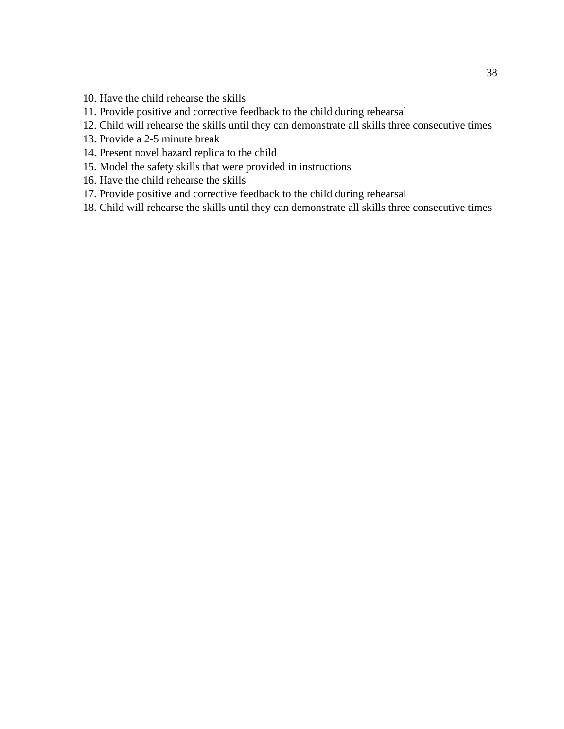- 10. Have the child rehearse the skills
- 11. Provide positive and corrective feedback to the child during rehearsal
- 12. Child will rehearse the skills until they can demonstrate all skills three consecutive times
- 13. Provide a 2-5 minute break
- 14. Present novel hazard replica to the child
- 15. Model the safety skills that were provided in instructions
- 16. Have the child rehearse the skills
- 17. Provide positive and corrective feedback to the child during rehearsal
- 18. Child will rehearse the skills until they can demonstrate all skills three consecutive times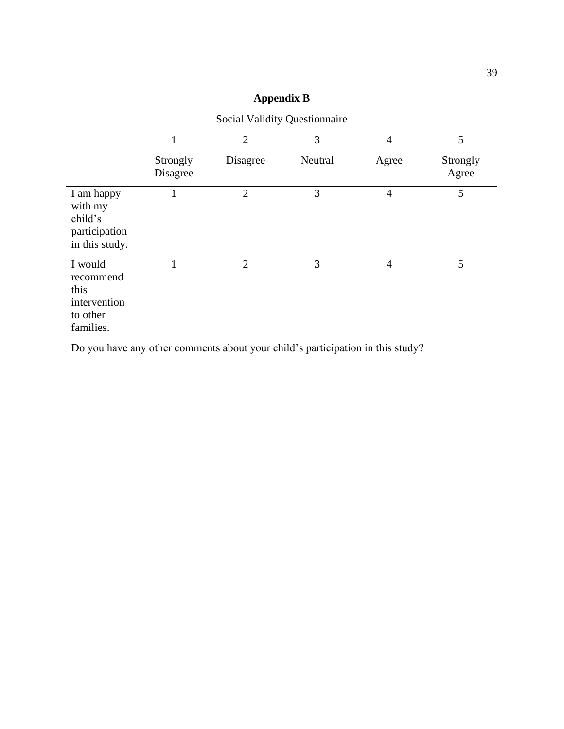## **Appendix B**

|                                                                       | $\mathbf{1}$         | $\overline{2}$ | 3       | $\overline{4}$ | 5                 |
|-----------------------------------------------------------------------|----------------------|----------------|---------|----------------|-------------------|
|                                                                       | Strongly<br>Disagree | Disagree       | Neutral | Agree          | Strongly<br>Agree |
| I am happy<br>with my<br>child's<br>participation<br>in this study.   |                      | $\overline{2}$ | 3       | $\overline{4}$ | 5                 |
| I would<br>recommend<br>this<br>intervention<br>to other<br>families. | 1                    | $\overline{2}$ | 3       | $\overline{4}$ | 5                 |

Social Validity Questionnaire

Do you have any other comments about your child's participation in this study?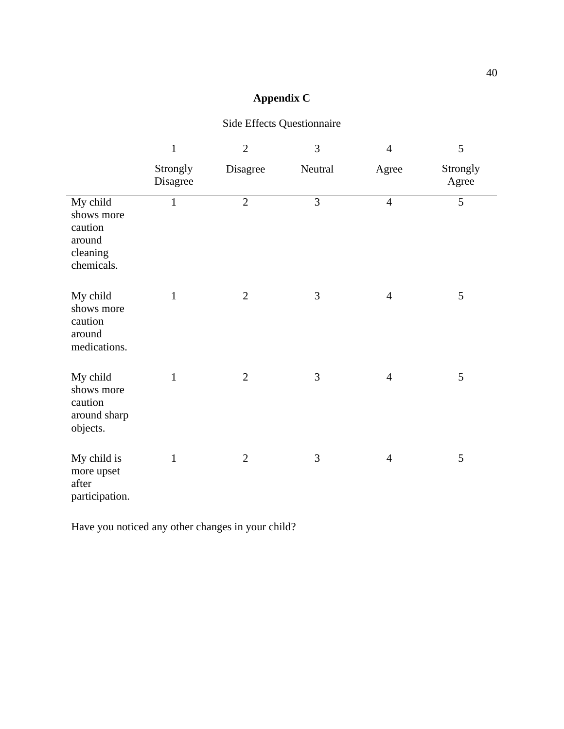## **Appendix C**

## Side Effects Questionnaire

|                                                                       | $\mathbf{1}$         | $\overline{2}$ | 3       | $\overline{4}$ | 5                 |
|-----------------------------------------------------------------------|----------------------|----------------|---------|----------------|-------------------|
|                                                                       | Strongly<br>Disagree | Disagree       | Neutral | Agree          | Strongly<br>Agree |
| My child<br>shows more<br>caution<br>around<br>cleaning<br>chemicals. | $\mathbf{1}$         | $\overline{2}$ | 3       | $\overline{4}$ | 5                 |
| My child<br>shows more<br>caution<br>around<br>medications.           | $\mathbf{1}$         | $\overline{2}$ | 3       | $\overline{4}$ | 5                 |
| My child<br>shows more<br>caution<br>around sharp<br>objects.         | $\mathbf{1}$         | $\overline{2}$ | 3       | $\overline{4}$ | 5                 |
| My child is<br>more upset<br>after<br>participation.                  | $\mathbf{1}$         | $\overline{2}$ | 3       | $\overline{4}$ | 5                 |

Have you noticed any other changes in your child?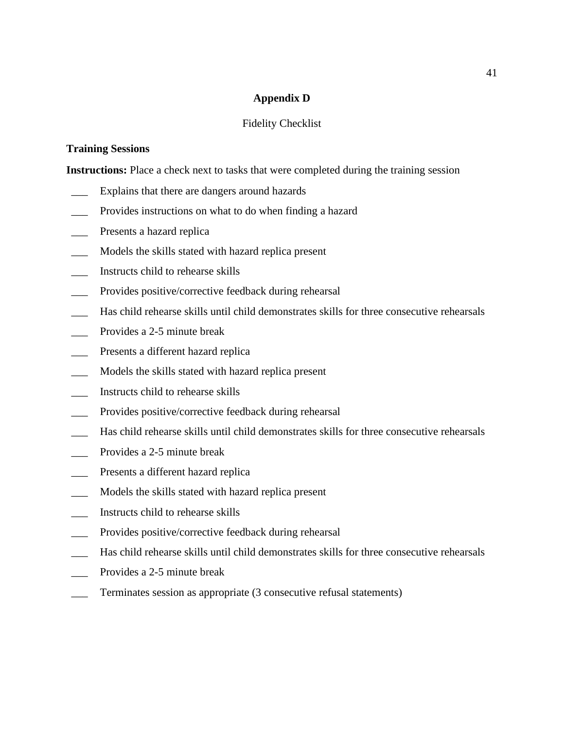### **Appendix D**

#### Fidelity Checklist

#### **Training Sessions**

**Instructions:** Place a check next to tasks that were completed during the training session

- Explains that there are dangers around hazards
- Provides instructions on what to do when finding a hazard
- Presents a hazard replica
- \_\_\_ Models the skills stated with hazard replica present
- \_\_\_ Instructs child to rehearse skills
- Provides positive/corrective feedback during rehearsal
- \_\_\_ Has child rehearse skills until child demonstrates skills for three consecutive rehearsals
- Provides a 2-5 minute break
- Presents a different hazard replica
- \_\_\_ Models the skills stated with hazard replica present
- \_\_\_ Instructs child to rehearse skills
- \_\_\_ Provides positive/corrective feedback during rehearsal
- \_\_\_ Has child rehearse skills until child demonstrates skills for three consecutive rehearsals
- Provides a 2-5 minute break
- Presents a different hazard replica
- Models the skills stated with hazard replica present
- \_\_\_ Instructs child to rehearse skills
- Provides positive/corrective feedback during rehearsal
- \_\_\_ Has child rehearse skills until child demonstrates skills for three consecutive rehearsals
- Provides a 2-5 minute break
- Terminates session as appropriate (3 consecutive refusal statements)